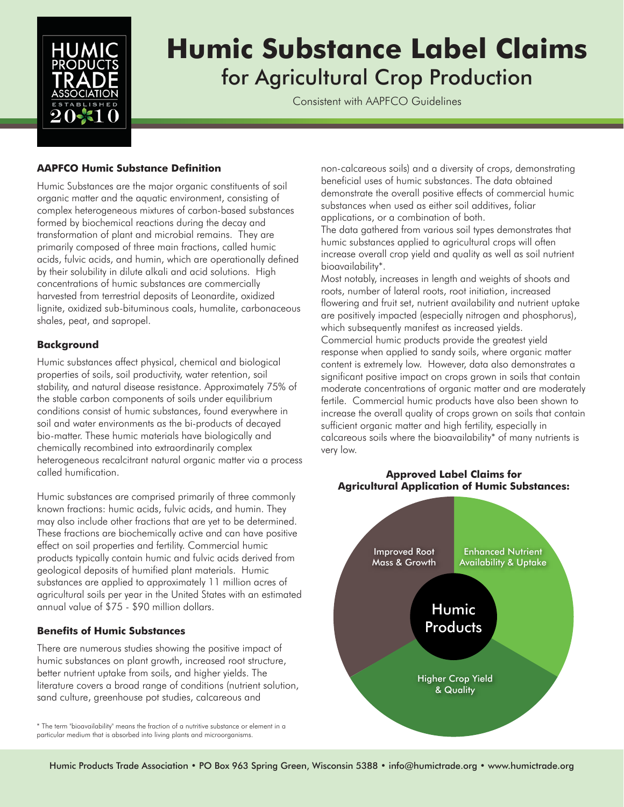

# **Humic Substance Label Claims** for Agricultural Crop Production

Consistent with AAPFCO Guidelines

# **AAPFCO Humic Substance Definition**

Humic Substances are the major organic constituents of soil organic matter and the aquatic environment, consisting of complex heterogeneous mixtures of carbon-based substances formed by biochemical reactions during the decay and transformation of plant and microbial remains. They are primarily composed of three main fractions, called humic acids, fulvic acids, and humin, which are operationally defined by their solubility in dilute alkali and acid solutions. High concentrations of humic substances are commercially harvested from terrestrial deposits of Leonardite, oxidized lignite, oxidized sub-bituminous coals, humalite, carbonaceous shales, peat, and sapropel.

## **Background**

Humic substances affect physical, chemical and biological properties of soils, soil productivity, water retention, soil stability, and natural disease resistance. Approximately 75% of the stable carbon components of soils under equilibrium conditions consist of humic substances, found everywhere in soil and water environments as the bi-products of decayed bio-matter. These humic materials have biologically and chemically recombined into extraordinarily complex heterogeneous recalcitrant natural organic matter via a process called humification.

Humic substances are comprised primarily of three commonly known fractions: humic acids, fulvic acids, and humin. They may also include other fractions that are yet to be determined. These fractions are biochemically active and can have positive effect on soil properties and fertility. Commercial humic products typically contain humic and fulvic acids derived from geological deposits of humified plant materials. Humic substances are applied to approximately 11 million acres of agricultural soils per year in the United States with an estimated annual value of \$75 - \$90 million dollars.

#### **Benefits of Humic Substances**

There are numerous studies showing the positive impact of humic substances on plant growth, increased root structure, better nutrient uptake from soils, and higher yields. The literature covers a broad range of conditions (nutrient solution, sand culture, greenhouse pot studies, calcareous and

\* The term "bioavailability" means the fraction of a nutritive substance or element in a particular medium that is absorbed into living plants and microorganisms.

non-calcareous soils) and a diversity of crops, demonstrating beneficial uses of humic substances. The data obtained demonstrate the overall positive effects of commercial humic substances when used as either soil additives, foliar applications, or a combination of both.

The data gathered from various soil types demonstrates that humic substances applied to agricultural crops will often increase overall crop yield and quality as well as soil nutrient bioavailability\*.

Most notably, increases in length and weights of shoots and roots, number of lateral roots, root initiation, increased flowering and fruit set, nutrient availability and nutrient uptake are positively impacted (especially nitrogen and phosphorus), which subsequently manifest as increased yields. Commercial humic products provide the greatest yield response when applied to sandy soils, where organic matter content is extremely low. However, data also demonstrates a significant positive impact on crops grown in soils that contain moderate concentrations of organic matter and are moderately fertile. Commercial humic products have also been shown to increase the overall quality of crops grown on soils that contain sufficient organic matter and high fertility, especially in calcareous soils where the bioavailability\* of many nutrients is very low.



## **Approved Label Claims for Agricultural Application of Humic Substances:**